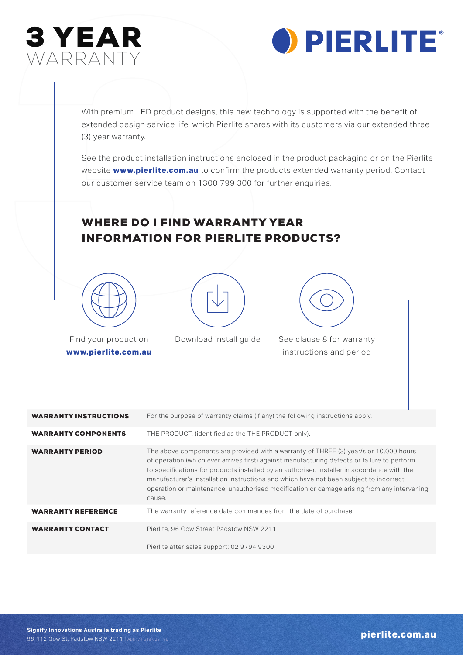



WARRANTY<br>WARRANTY<br>With premium LED product designs, this new tech<br>extended design service life, which Pierlite shares<br>(3) year warranty.<br>See the product installation instructions enclosed<br>website www.pierlite.com.au to con With premium LED product designs, this new technology is supported with the benefit of extended design service life, which Pierlite shares with its customers via our extended three (3) year warranty.

See the product installation instructions enclosed in the product packaging or on the Pierlite website **www.pierlite.com.au** to confirm the products extended warranty period. Contact our customer service team on 1300 799 300 for further enquiries.

## WHERE DO I FIND WARRANTY YEAR INFORMATION FOR PIERLITE PRODUCTS?





Find your product on **www.pierlite.com.au**

Download install guide See clause 8 for warranty

instructions and period

| <b>WARRANTY INSTRUCTIONS</b> | For the purpose of warranty claims (if any) the following instructions apply.                                                                                                                                                                                                                                                                                                                                                                                                       |
|------------------------------|-------------------------------------------------------------------------------------------------------------------------------------------------------------------------------------------------------------------------------------------------------------------------------------------------------------------------------------------------------------------------------------------------------------------------------------------------------------------------------------|
| <b>WARRANTY COMPONENTS</b>   | THE PRODUCT, (identified as the THE PRODUCT only).                                                                                                                                                                                                                                                                                                                                                                                                                                  |
| <b>WARRANTY PERIOD</b>       | The above components are provided with a warranty of THREE (3) year/s or 10,000 hours<br>of operation (which ever arrives first) against manufacturing defects or failure to perform<br>to specifications for products installed by an authorised installer in accordance with the<br>manufacturer's installation instructions and which have not been subject to incorrect<br>operation or maintenance, unauthorised modification or damage arising from any intervening<br>cause. |
| <b>WARRANTY REFERENCE</b>    | The warranty reference date commences from the date of purchase.                                                                                                                                                                                                                                                                                                                                                                                                                    |
| <b>WARRANTY CONTACT</b>      | Pierlite, 96 Gow Street Padstow NSW 2211                                                                                                                                                                                                                                                                                                                                                                                                                                            |
|                              | Pierlite after sales support: 02 9794 9300                                                                                                                                                                                                                                                                                                                                                                                                                                          |